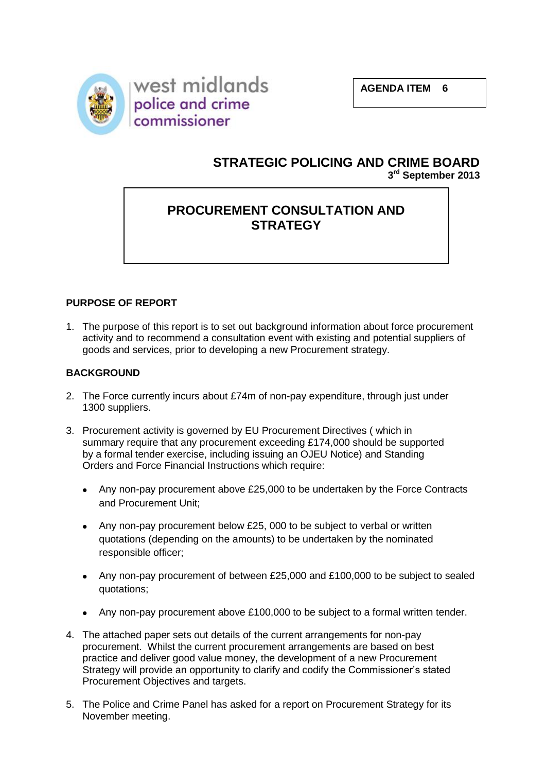



# **STRATEGIC POLICING AND CRIME BOARD 3 rd September 2013**

# **PROCUREMENT CONSULTATION AND STRATEGY**

## **PURPOSE OF REPORT**

1. The purpose of this report is to set out background information about force procurement activity and to recommend a consultation event with existing and potential suppliers of goods and services, prior to developing a new Procurement strategy.

#### **BACKGROUND**

- 2. The Force currently incurs about £74m of non-pay expenditure, through just under 1300 suppliers.
- 3. Procurement activity is governed by EU Procurement Directives ( which in summary require that any procurement exceeding £174,000 should be supported by a formal tender exercise, including issuing an OJEU Notice) and Standing Orders and Force Financial Instructions which require:
	- Any non-pay procurement above £25,000 to be undertaken by the Force Contracts and Procurement Unit;
	- Any non-pay procurement below £25, 000 to be subject to verbal or written quotations (depending on the amounts) to be undertaken by the nominated responsible officer;
	- Any non-pay procurement of between £25,000 and £100,000 to be subject to sealed quotations;
	- Any non-pay procurement above £100,000 to be subject to a formal written tender.
- 4. The attached paper sets out details of the current arrangements for non-pay procurement. Whilst the current procurement arrangements are based on best practice and deliver good value money, the development of a new Procurement Strategy will provide an opportunity to clarify and codify the Commissioner's stated Procurement Objectives and targets.
- 5. The Police and Crime Panel has asked for a report on Procurement Strategy for its November meeting.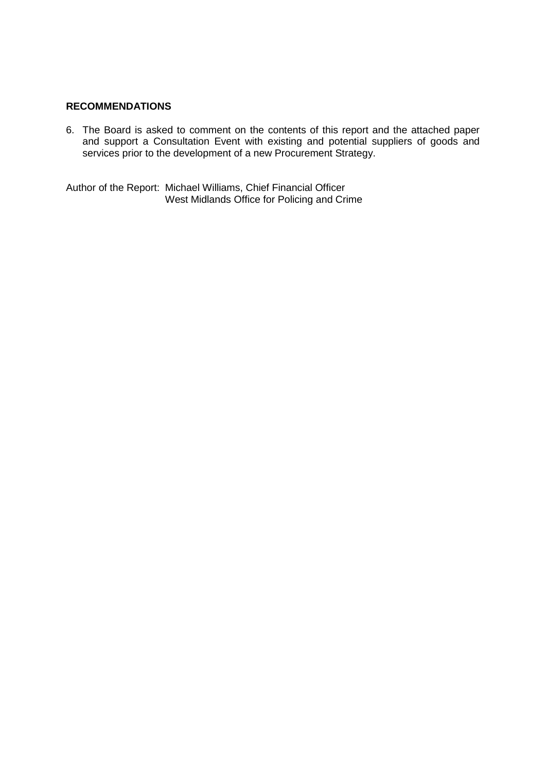#### **RECOMMENDATIONS**

6. The Board is asked to comment on the contents of this report and the attached paper and support a Consultation Event with existing and potential suppliers of goods and services prior to the development of a new Procurement Strategy.

Author of the Report: Michael Williams, Chief Financial Officer West Midlands Office for Policing and Crime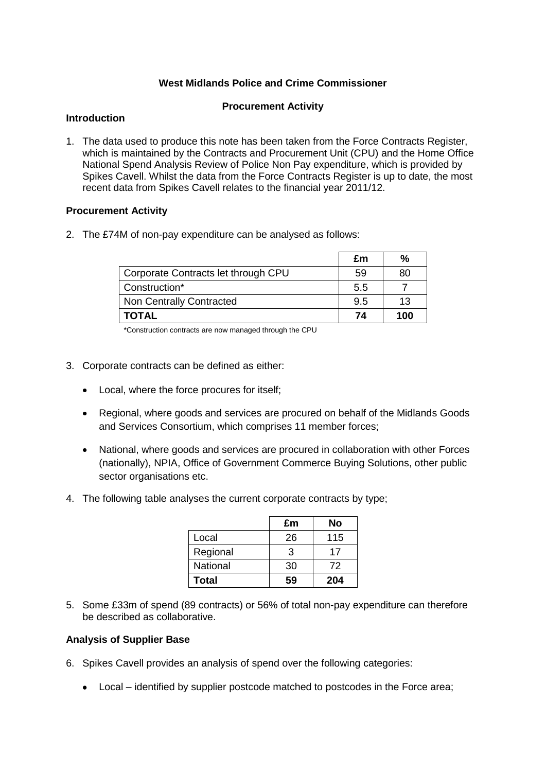#### **West Midlands Police and Crime Commissioner**

#### **Procurement Activity**

#### **Introduction**

1. The data used to produce this note has been taken from the Force Contracts Register, which is maintained by the Contracts and Procurement Unit (CPU) and the Home Office National Spend Analysis Review of Police Non Pay expenditure, which is provided by Spikes Cavell. Whilst the data from the Force Contracts Register is up to date, the most recent data from Spikes Cavell relates to the financial year 2011/12.

#### **Procurement Activity**

2. The £74M of non-pay expenditure can be analysed as follows:

|                                     | £m  | %   |
|-------------------------------------|-----|-----|
| Corporate Contracts let through CPU | 59  | 80  |
| Construction*                       | 5.5 |     |
| <b>Non Centrally Contracted</b>     | 9.5 | 13  |
| <b>TOTAL</b>                        | 74  | 100 |

\*Construction contracts are now managed through the CPU

- 3. Corporate contracts can be defined as either:
	- Local, where the force procures for itself;
	- Regional, where goods and services are procured on behalf of the Midlands Goods and Services Consortium, which comprises 11 member forces;
	- $\bullet$ National, where goods and services are procured in collaboration with other Forces (nationally), NPIA, Office of Government Commerce Buying Solutions, other public sector organisations etc.
- 4. The following table analyses the current corporate contracts by type;

|          | £m | No  |
|----------|----|-----|
| Local    | 26 | 115 |
| Regional | З  | 17  |
| National | 30 | 72  |
| Total    | 59 | 204 |

5. Some £33m of spend (89 contracts) or 56% of total non-pay expenditure can therefore be described as collaborative.

#### **Analysis of Supplier Base**

- 6. Spikes Cavell provides an analysis of spend over the following categories:
	- Local identified by supplier postcode matched to postcodes in the Force area;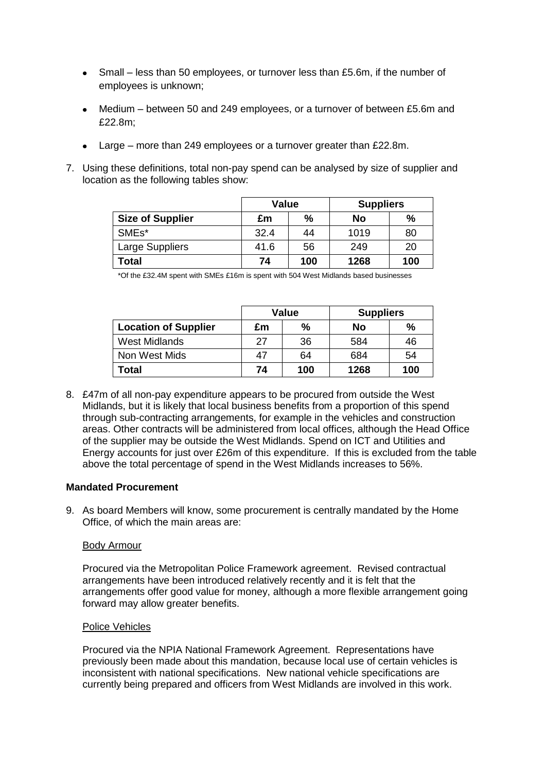- Small less than 50 employees, or turnover less than £5.6m, if the number of employees is unknown;
- Medium between 50 and 249 employees, or a turnover of between £5.6m and £22.8m;
- Large more than 249 employees or a turnover greater than £22.8m.
- 7. Using these definitions, total non-pay spend can be analysed by size of supplier and location as the following tables show:

|                         | Value |     | <b>Suppliers</b> |      |
|-------------------------|-------|-----|------------------|------|
| <b>Size of Supplier</b> | £m    | %   | No               | $\%$ |
| SMEs*                   | 32.4  | 44  | 1019             | 80   |
| Large Suppliers         | 41.6  | 56  | 249              | 20   |
| Total                   | 74    | 100 | 1268             | 100  |

\*Of the £32.4M spent with SMEs £16m is spent with 504 West Midlands based businesses

|                             | Value |     | <b>Suppliers</b> |     |
|-----------------------------|-------|-----|------------------|-----|
| <b>Location of Supplier</b> | £m    | %   | No               | %   |
| <b>West Midlands</b>        | 27    | 36  | 584              | 46  |
| Non West Mids               | 47    | 64  | 684              | 54  |
| Total                       | 74    | 100 | 1268             | 100 |

8. £47m of all non-pay expenditure appears to be procured from outside the West Midlands, but it is likely that local business benefits from a proportion of this spend through sub-contracting arrangements, for example in the vehicles and construction areas. Other contracts will be administered from local offices, although the Head Office of the supplier may be outside the West Midlands. Spend on ICT and Utilities and Energy accounts for just over £26m of this expenditure. If this is excluded from the table above the total percentage of spend in the West Midlands increases to 56%.

#### **Mandated Procurement**

9. As board Members will know, some procurement is centrally mandated by the Home Office, of which the main areas are:

#### Body Armour

Procured via the Metropolitan Police Framework agreement. Revised contractual arrangements have been introduced relatively recently and it is felt that the arrangements offer good value for money, although a more flexible arrangement going forward may allow greater benefits.

#### Police Vehicles

Procured via the NPIA National Framework Agreement. Representations have previously been made about this mandation, because local use of certain vehicles is inconsistent with national specifications. New national vehicle specifications are currently being prepared and officers from West Midlands are involved in this work.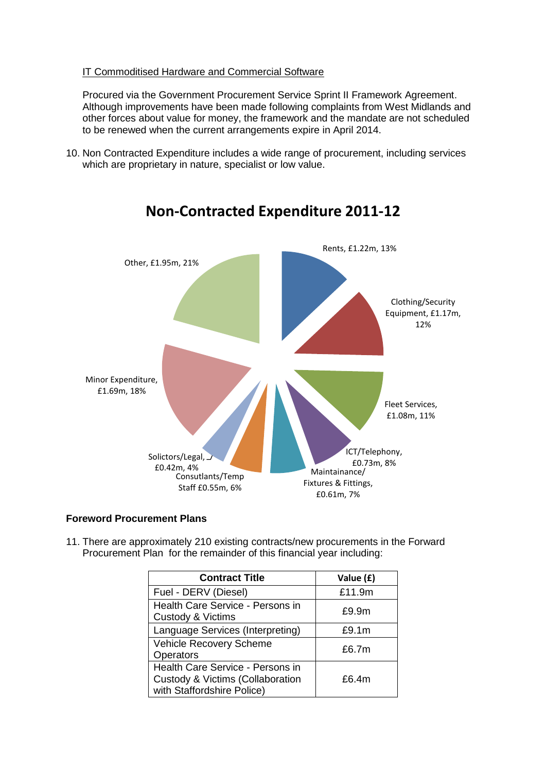#### IT Commoditised Hardware and Commercial Software

Procured via the Government Procurement Service Sprint II Framework Agreement. Although improvements have been made following complaints from West Midlands and other forces about value for money, the framework and the mandate are not scheduled to be renewed when the current arrangements expire in April 2014.

10. Non Contracted Expenditure includes a wide range of procurement, including services which are proprietary in nature, specialist or low value.



# **Non-Contracted Expenditure 2011-12**

#### **Foreword Procurement Plans**

11. There are approximately 210 existing contracts/new procurements in the Forward Procurement Plan for the remainder of this financial year including:

| <b>Contract Title</b>                                                                              | Value (£) |
|----------------------------------------------------------------------------------------------------|-----------|
| Fuel - DERV (Diesel)                                                                               | £11.9m    |
| Health Care Service - Persons in<br>Custody & Victims                                              | £9.9m     |
| Language Services (Interpreting)                                                                   | £9.1m     |
| Vehicle Recovery Scheme<br>Operators                                                               | £6.7 $m$  |
| Health Care Service - Persons in<br>Custody & Victims (Collaboration<br>with Staffordshire Police) | £6.4m     |